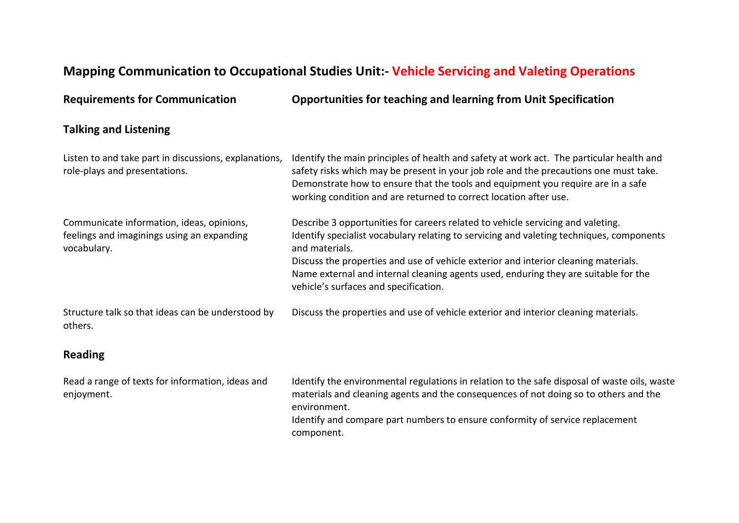## **Mapping Communication to Occupational Studies Unit:- Vehicle Servicing and Valeting Operations**

| <b>Requirements for Communication</b>                                                                  | <b>Opportunities for teaching and learning from Unit Specification</b>                                                                                                                                                                                                                                                                                                                                               |
|--------------------------------------------------------------------------------------------------------|----------------------------------------------------------------------------------------------------------------------------------------------------------------------------------------------------------------------------------------------------------------------------------------------------------------------------------------------------------------------------------------------------------------------|
| <b>Talking and Listening</b>                                                                           |                                                                                                                                                                                                                                                                                                                                                                                                                      |
| Listen to and take part in discussions, explanations,<br>role-plays and presentations.                 | Identify the main principles of health and safety at work act. The particular health and<br>safety risks which may be present in your job role and the precautions one must take.<br>Demonstrate how to ensure that the tools and equipment you require are in a safe<br>working condition and are returned to correct location after use.                                                                           |
| Communicate information, ideas, opinions,<br>feelings and imaginings using an expanding<br>vocabulary. | Describe 3 opportunities for careers related to vehicle servicing and valeting.<br>Identify specialist vocabulary relating to servicing and valeting techniques, components<br>and materials.<br>Discuss the properties and use of vehicle exterior and interior cleaning materials.<br>Name external and internal cleaning agents used, enduring they are suitable for the<br>vehicle's surfaces and specification. |
| Structure talk so that ideas can be understood by<br>others.                                           | Discuss the properties and use of vehicle exterior and interior cleaning materials.                                                                                                                                                                                                                                                                                                                                  |
| <b>Reading</b>                                                                                         |                                                                                                                                                                                                                                                                                                                                                                                                                      |
| Read a range of texts for information, ideas and<br>enjoyment.                                         | Identify the environmental regulations in relation to the safe disposal of waste oils, waste<br>materials and cleaning agents and the consequences of not doing so to others and the<br>environment.<br>Identify and compare part numbers to ensure conformity of service replacement<br>component.                                                                                                                  |